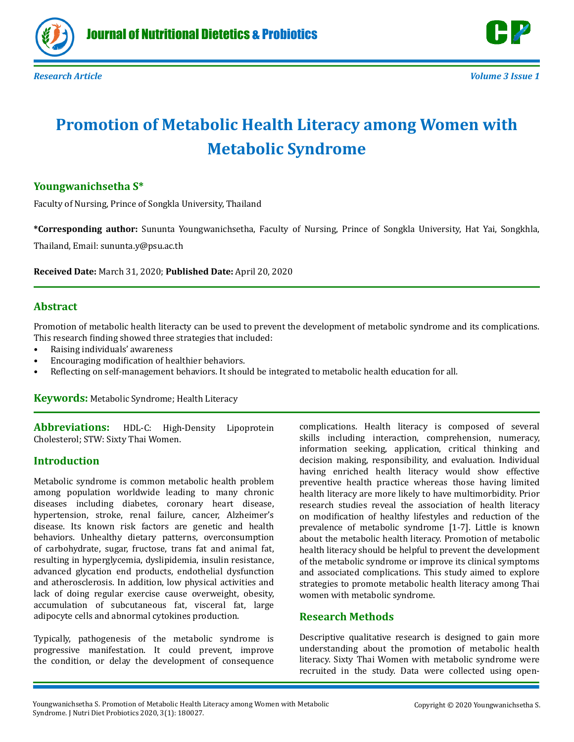

# **Promotion of Metabolic Health Literacy among Women with Metabolic Syndrome**

## **Youngwanichsetha S\***

Faculty of Nursing, Prince of Songkla University, Thailand

**\*Corresponding author:** Sununta Youngwanichsetha, Faculty of Nursing, Prince of Songkla University, Hat Yai, Songkhla, Thailand, Email: sununta.y@psu.ac.th

**Received Date:** March 31, 2020; **Published Date:** April 20, 2020

## **Abstract**

Promotion of metabolic health literacty can be used to prevent the development of metabolic syndrome and its complications. This research finding showed three strategies that included:

- Raising individuals' awareness
- Encouraging modification of healthier behaviors.
- Reflecting on self-management behaviors. It should be integrated to metabolic health education for all.

**Keywords:** Metabolic Syndrome; Health Literacy

**Abbreviations:** HDL-C: High-Density Lipoprotein Cholesterol; STW: Sixty Thai Women.

## **Introduction**

Metabolic syndrome is common metabolic health problem among population worldwide leading to many chronic diseases including diabetes, coronary heart disease, hypertension, stroke, renal failure, cancer, Alzheimer's disease. Its known risk factors are genetic and health behaviors. Unhealthy dietary patterns, overconsumption of carbohydrate, sugar, fructose, trans fat and animal fat, resulting in hyperglycemia, dyslipidemia, insulin resistance, advanced glycation end products, endothelial dysfunction and atherosclerosis. In addition, low physical activities and lack of doing regular exercise cause overweight, obesity, accumulation of subcutaneous fat, visceral fat, large adipocyte cells and abnormal cytokines production.

Typically, pathogenesis of the metabolic syndrome is progressive manifestation. It could prevent, improve the condition, or delay the development of consequence

complications. Health literacy is composed of several skills including interaction, comprehension, numeracy, information seeking, application, critical thinking and decision making, responsibility, and evaluation. Individual having enriched health literacy would show effective preventive health practice whereas those having limited health literacy are more likely to have multimorbidity. Prior research studies reveal the association of health literacy on modification of healthy lifestyles and reduction of the prevalence of metabolic syndrome [1-7]. Little is known about the metabolic health literacy. Promotion of metabolic health literacy should be helpful to prevent the development of the metabolic syndrome or improve its clinical symptoms and associated complications. This study aimed to explore strategies to promote metabolic health literacy among Thai women with metabolic syndrome.

## **Research Methods**

Descriptive qualitative research is designed to gain more understanding about the promotion of metabolic health literacy. Sixty Thai Women with metabolic syndrome were recruited in the study. Data were collected using open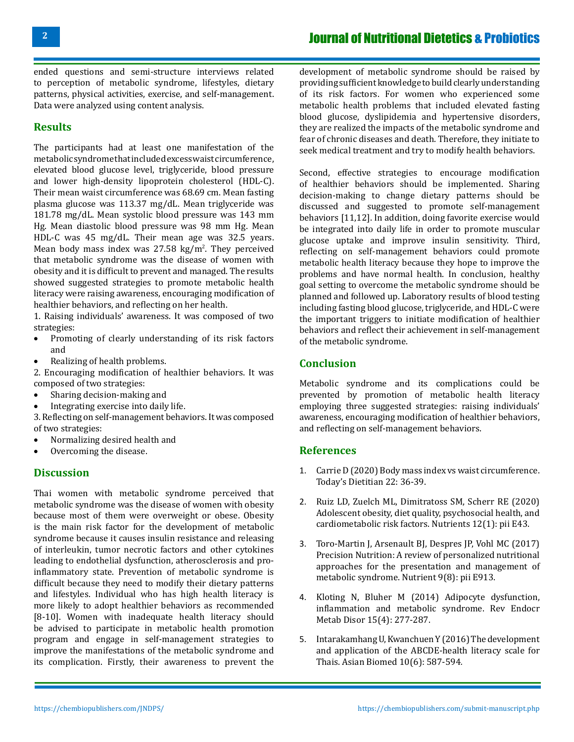ended questions and semi-structure interviews related to perception of metabolic syndrome, lifestyles, dietary patterns, physical activities, exercise, and self-management. Data were analyzed using content analysis.

#### **Results**

The participants had at least one manifestation of the metabolic syndrome that included excess waist circumference, elevated blood glucose level, triglyceride, blood pressure and lower high-density lipoprotein cholesterol (HDL-C). Their mean waist circumference was 68.69 cm. Mean fasting plasma glucose was 113.37 mg/dL. Mean triglyceride was 181.78 mg/dL. Mean systolic blood pressure was 143 mm Hg. Mean diastolic blood pressure was 98 mm Hg. Mean HDL-C was 45 mg/dL. Their mean age was 32.5 years. Mean body mass index was 27.58 kg/m<sup>2</sup> . They perceived that metabolic syndrome was the disease of women with obesity and it is difficult to prevent and managed. The results showed suggested strategies to promote metabolic health literacy were raising awareness, encouraging modification of healthier behaviors, and reflecting on her health.

1. Raising individuals' awareness. It was composed of two strategies:<br>• Promo

- Promoting of clearly understanding of its risk factors and
- Realizing of health problems.

2. Encouraging modification of healthier behaviors. It was composed of two strategies:<br>• Sharing decision-making

- Sharing decision-making and
- Integrating exercise into daily life.

3. Reflecting on self-management behaviors. It was composed of two strategies:

- Normalizing desired health and<br>• Overcoming the disease
- Overcoming the disease.

#### **Discussion**

Thai women with metabolic syndrome perceived that metabolic syndrome was the disease of women with obesity because most of them were overweight or obese. Obesity is the main risk factor for the development of metabolic syndrome because it causes insulin resistance and releasing of interleukin, tumor necrotic factors and other cytokines leading to endothelial dysfunction, atherosclerosis and proinflammatory state. Prevention of metabolic syndrome is difficult because they need to modify their dietary patterns and lifestyles. Individual who has high health literacy is more likely to adopt healthier behaviors as recommended [8-10]. Women with inadequate health literacy should be advised to participate in metabolic health promotion program and engage in self-management strategies to improve the manifestations of the metabolic syndrome and its complication. Firstly, their awareness to prevent the

development of metabolic syndrome should be raised by providing sufficient knowledge to build clearly understanding of its risk factors. For women who experienced some metabolic health problems that included elevated fasting blood glucose, dyslipidemia and hypertensive disorders, they are realized the impacts of the metabolic syndrome and fear of chronic diseases and death. Therefore, they initiate to seek medical treatment and try to modify health behaviors.

Second, effective strategies to encourage modification of healthier behaviors should be implemented. Sharing decision-making to change dietary patterns should be discussed and suggested to promote self-management behaviors [11,12]. In addition, doing favorite exercise would be integrated into daily life in order to promote muscular glucose uptake and improve insulin sensitivity. Third, reflecting on self-management behaviors could promote metabolic health literacy because they hope to improve the problems and have normal health. In conclusion, healthy goal setting to overcome the metabolic syndrome should be planned and followed up. Laboratory results of blood testing including fasting blood glucose, triglyceride, and HDL-C were the important triggers to initiate modification of healthier behaviors and reflect their achievement in self-management of the metabolic syndrome.

## **Conclusion**

Metabolic syndrome and its complications could be prevented by promotion of metabolic health literacy employing three suggested strategies: raising individuals' awareness, encouraging modification of healthier behaviors, and reflecting on self-management behaviors.

#### **References**

- 1. [Carrie D \(2020\) Body mass index vs waist circumference.](https://www.todaysdietitian.com/newarchives/0120p36.shtml) [Today's Dietitian 22: 36-39.](https://www.todaysdietitian.com/newarchives/0120p36.shtml)
- 2. [Ruiz LD, Zuelch ML, Dimitratoss SM, Scherr RE \(2020\)](https://www.ncbi.nlm.nih.gov/pubmed/31877943) [Adolescent obesity, diet quality, psychosocial health, and](https://www.ncbi.nlm.nih.gov/pubmed/31877943)  [cardiometabolic risk factors. Nutrients 12\(1\): pii E43.](https://www.ncbi.nlm.nih.gov/pubmed/31877943)
- 3. [Toro-Martin J, Arsenault BJ, Despres JP, Vohl MC \(2017\)](https://www.ncbi.nlm.nih.gov/pubmed/28829397) [Precision Nutrition: A review of personalized nutritional](https://www.ncbi.nlm.nih.gov/pubmed/28829397)  [approaches for the presentation and management of](https://www.ncbi.nlm.nih.gov/pubmed/28829397) [metabolic syndrome. Nutrient 9\(8\): pii E913.](https://www.ncbi.nlm.nih.gov/pubmed/28829397)
- 4. [Kloting N, Bluher M \(2014\) Adipocyte dysfunction,](https://www.ncbi.nlm.nih.gov/pubmed/25344447) [inflammation and metabolic syndrome. Rev Endocr](https://www.ncbi.nlm.nih.gov/pubmed/25344447) [Metab Disor 15\(4\): 277-287.](https://www.ncbi.nlm.nih.gov/pubmed/25344447)
- 5. [Intarakamhang U, Kwanchuen Y \(2016\) The development](file:///C:\Users\Medwin%20003\Downloads\%5b1875855X%20-%20Asian%20Biomedicine%5d%20The%20development%20and%20application%20of%20the%20ABCDE-health%20literacy%20scale%20for%20Thais.pdf)  [and application of the ABCDE-health literacy scale for](file:///C:\Users\Medwin%20003\Downloads\%5b1875855X%20-%20Asian%20Biomedicine%5d%20The%20development%20and%20application%20of%20the%20ABCDE-health%20literacy%20scale%20for%20Thais.pdf) [Thais. Asian Biomed 10\(6\):](file:///C:\Users\Medwin%20003\Downloads\%5b1875855X%20-%20Asian%20Biomedicine%5d%20The%20development%20and%20application%20of%20the%20ABCDE-health%20literacy%20scale%20for%20Thais.pdf) 587-594*.*